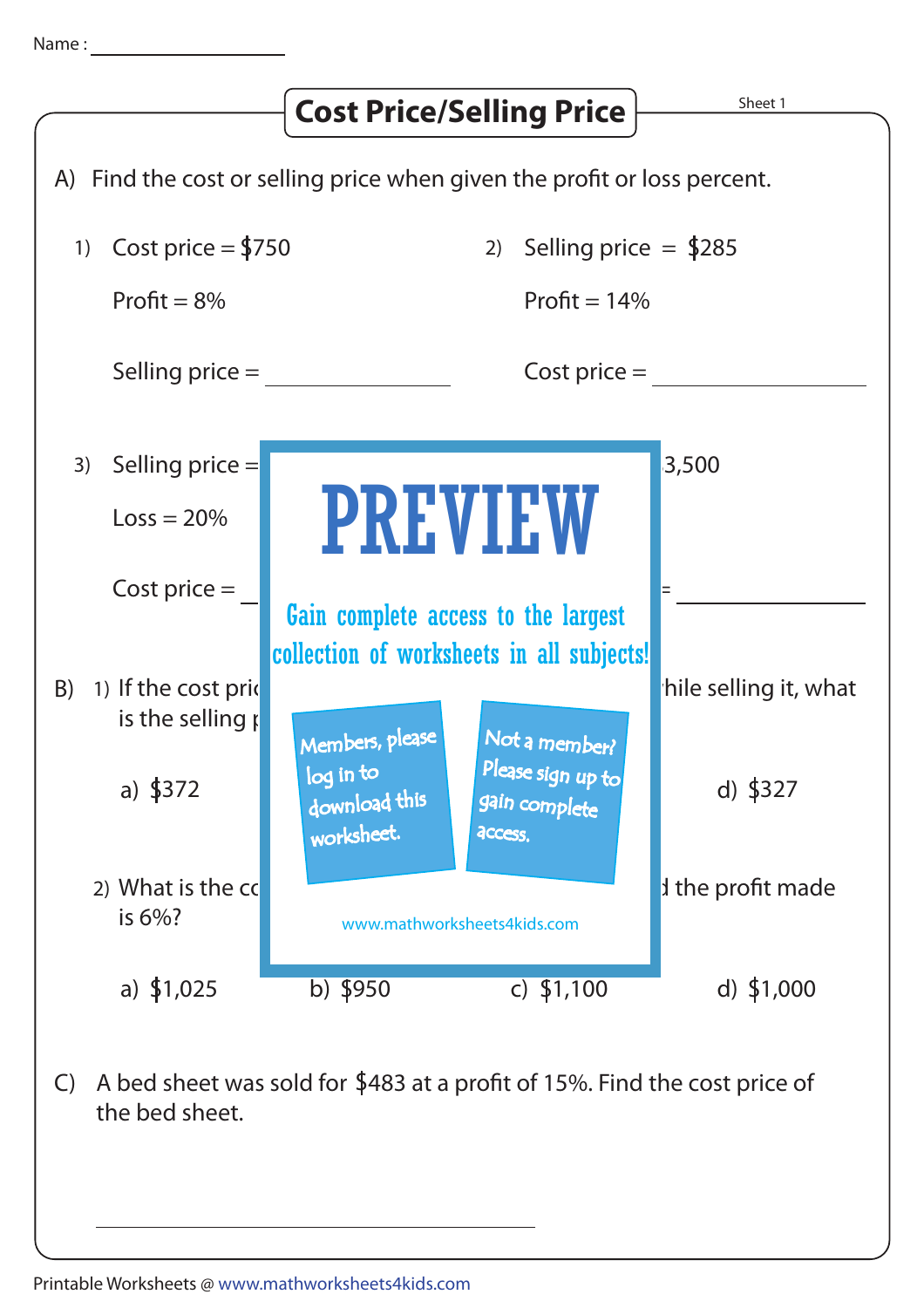